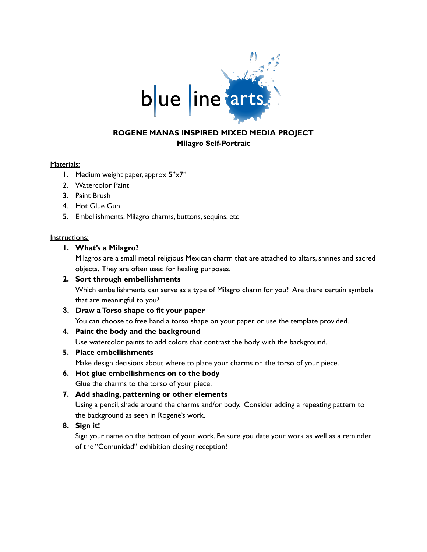

# **ROGENE MANAS INSPIRED MIXED MEDIA PROJECT Milagro Self-Portrait**

#### Materials:

- 1. Medium weight paper, approx 5"x7"
- 2. Watercolor Paint
- 3. Paint Brush
- 4. Hot Glue Gun
- 5. Embellishments: Milagro charms, buttons, sequins, etc

#### Instructions:

### **1. What's a Milagro?**

Milagros are a small metal religious Mexican charm that are attached to altars, shrines and sacred objects. They are often used for healing purposes.

### **2. Sort through embellishments**

Which embellishments can serve as a type of Milagro charm for you? Are there certain symbols that are meaningful to you?

**3. Draw aTorso shape to fit your paper** You can choose to free hand a torso shape on your paper or use the template provided.

# **4. Paint the body and the background**

Use watercolor paints to add colors that contrast the body with the background.

### **5. Place embellishments**

Make design decisions about where to place your charms on the torso of your piece.

# **6. Hot glue embellishments on to the body**

Glue the charms to the torso of your piece.

**7. Add shading, patterning or other elements**

Using a pencil, shade around the charms and/or body. Consider adding a repeating pattern to the background as seen in Rogene's work.

**8. Sign it!**

Sign your name on the bottom of your work. Be sure you date your work as well as a reminder of the "Comunidad" exhibition closing reception!